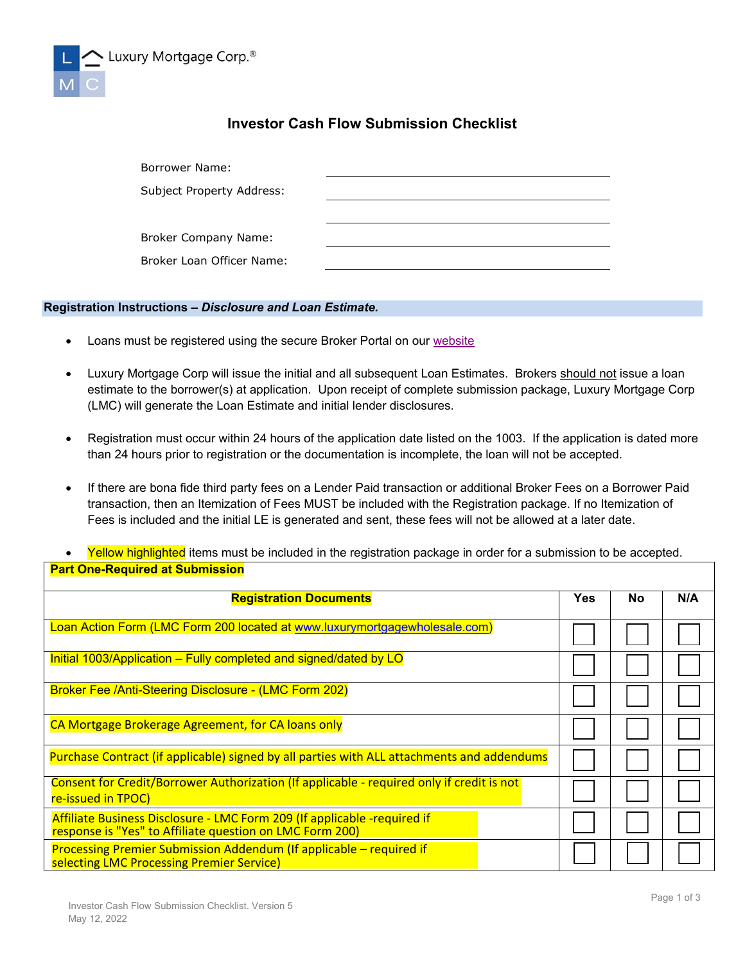

## **Investor Cash Flow Submission Checklist**

| Borrower Name:            |  |
|---------------------------|--|
| Subject Property Address: |  |
|                           |  |
| Broker Company Name:      |  |
| Broker Loan Officer Name: |  |

## **Registration Instructions –** *Disclosure and Loan Estimate.*

- Loans must be registered using the secure Broker Portal on our [website](http://www.luxurymortgagewholesale.com/)
- Luxury Mortgage Corp will issue the initial and all subsequent Loan Estimates. Brokers should not issue a loan estimate to the borrower(s) at application. Upon receipt of complete submission package, Luxury Mortgage Corp (LMC) will generate the Loan Estimate and initial lender disclosures.
- Registration must occur within 24 hours of the application date listed on the 1003. If the application is dated more than 24 hours prior to registration or the documentation is incomplete, the loan will not be accepted.
- If there are bona fide third party fees on a Lender Paid transaction or additional Broker Fees on a Borrower Paid transaction, then an Itemization of Fees MUST be included with the Registration package. If no Itemization of Fees is included and the initial LE is generated and sent, these fees will not be allowed at a later date.
- Yellow highlighted items must be included in the registration package in order for a submission to be accepted. **Part One-Required at Submission**

| <b>Registration Documents</b>                                                                                                        |  | No | N/A |
|--------------------------------------------------------------------------------------------------------------------------------------|--|----|-----|
| Loan Action Form (LMC Form 200 located at www.luxurymortgagewholesale.com)                                                           |  |    |     |
| Initial 1003/Application – Fully completed and signed/dated by LO                                                                    |  |    |     |
| Broker Fee /Anti-Steering Disclosure - (LMC Form 202)                                                                                |  |    |     |
| CA Mortgage Brokerage Agreement, for CA loans only                                                                                   |  |    |     |
| Purchase Contract (if applicable) signed by all parties with ALL attachments and addendums                                           |  |    |     |
| Consent for Credit/Borrower Authorization (If applicable - required only if credit is not<br>re-issued in TPOC)                      |  |    |     |
| Affiliate Business Disclosure - LMC Form 209 (If applicable -required if<br>response is "Yes" to Affiliate question on LMC Form 200) |  |    |     |
| Processing Premier Submission Addendum (If applicable – required if<br>selecting LMC Processing Premier Service)                     |  |    |     |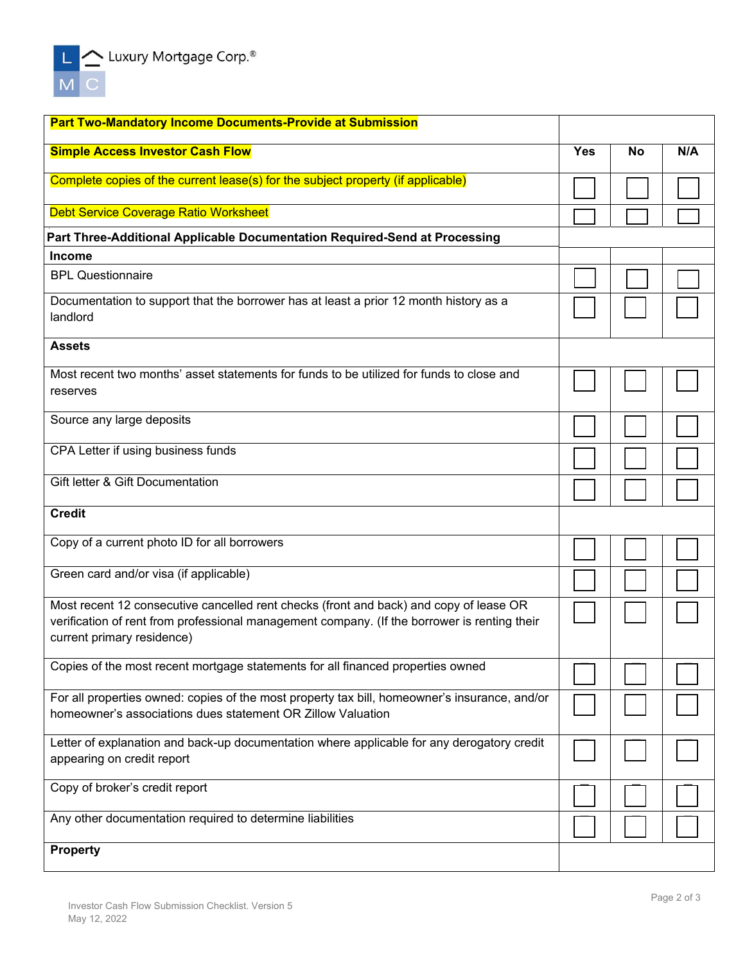| <b>Part Two-Mandatory Income Documents-Provide at Submission</b>                                                                                                                                                     |  |           |     |
|----------------------------------------------------------------------------------------------------------------------------------------------------------------------------------------------------------------------|--|-----------|-----|
| <b>Simple Access Investor Cash Flow</b>                                                                                                                                                                              |  | <b>No</b> | N/A |
| Complete copies of the current lease(s) for the subject property (if applicable)                                                                                                                                     |  |           |     |
| <b>Debt Service Coverage Ratio Worksheet</b>                                                                                                                                                                         |  |           |     |
| Part Three-Additional Applicable Documentation Required-Send at Processing                                                                                                                                           |  |           |     |
| <b>Income</b>                                                                                                                                                                                                        |  |           |     |
| <b>BPL Questionnaire</b>                                                                                                                                                                                             |  |           |     |
| Documentation to support that the borrower has at least a prior 12 month history as a<br>landlord                                                                                                                    |  |           |     |
| <b>Assets</b>                                                                                                                                                                                                        |  |           |     |
| Most recent two months' asset statements for funds to be utilized for funds to close and<br>reserves                                                                                                                 |  |           |     |
| Source any large deposits                                                                                                                                                                                            |  |           |     |
| CPA Letter if using business funds                                                                                                                                                                                   |  |           |     |
| Gift letter & Gift Documentation                                                                                                                                                                                     |  |           |     |
| <b>Credit</b>                                                                                                                                                                                                        |  |           |     |
| Copy of a current photo ID for all borrowers                                                                                                                                                                         |  |           |     |
| Green card and/or visa (if applicable)                                                                                                                                                                               |  |           |     |
| Most recent 12 consecutive cancelled rent checks (front and back) and copy of lease OR<br>verification of rent from professional management company. (If the borrower is renting their<br>current primary residence) |  |           |     |
| Copies of the most recent mortgage statements for all financed properties owned                                                                                                                                      |  |           |     |
| For all properties owned: copies of the most property tax bill, homeowner's insurance, and/or<br>homeowner's associations dues statement OR Zillow Valuation                                                         |  |           |     |
| Letter of explanation and back-up documentation where applicable for any derogatory credit                                                                                                                           |  |           |     |
| appearing on credit report                                                                                                                                                                                           |  |           |     |
| Copy of broker's credit report                                                                                                                                                                                       |  |           |     |
| Any other documentation required to determine liabilities                                                                                                                                                            |  |           |     |
| <b>Property</b>                                                                                                                                                                                                      |  |           |     |